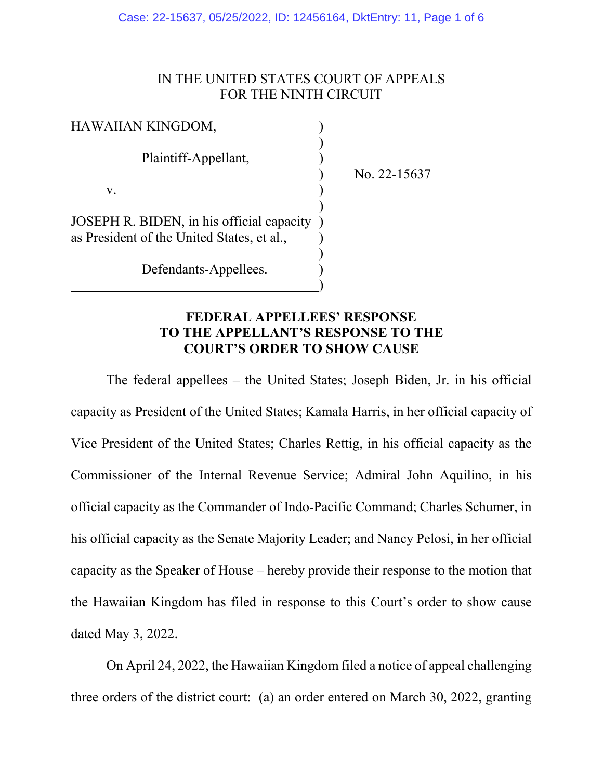Case: 22-15637, 05/25/2022, ID: 12456164, DktEntry: 11, Page 1 of 6

### IN THE UNITED STATES COURT OF APPEALS FOR THE NINTH CIRCUIT

| HAWAIIAN KINGDOM,                          |  |
|--------------------------------------------|--|
| Plaintiff-Appellant,                       |  |
|                                            |  |
| V.                                         |  |
| JOSEPH R. BIDEN, in his official capacity  |  |
| as President of the United States, et al., |  |
|                                            |  |
| Defendants-Appellees.                      |  |

 $\qquad \qquad \qquad \qquad$ 

) No. 22-15637

### **FEDERAL APPELLEES' RESPONSE TO THE APPELLANT'S RESPONSE TO THE COURT'S ORDER TO SHOW CAUSE**

The federal appellees – the United States; Joseph Biden, Jr. in his official capacity as President of the United States; Kamala Harris, in her official capacity of Vice President of the United States; Charles Rettig, in his official capacity as the Commissioner of the Internal Revenue Service; Admiral John Aquilino, in his official capacity as the Commander of Indo-Pacific Command; Charles Schumer, in his official capacity as the Senate Majority Leader; and Nancy Pelosi, in her official capacity as the Speaker of House – hereby provide their response to the motion that the Hawaiian Kingdom has filed in response to this Court's order to show cause dated May 3, 2022.

On April 24, 2022, the Hawaiian Kingdom filed a notice of appeal challenging three orders of the district court: (a) an order entered on March 30, 2022, granting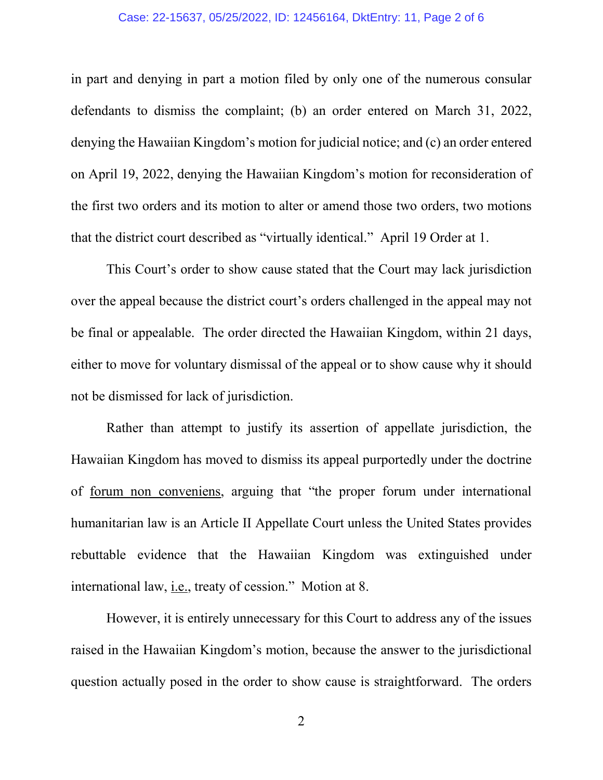#### Case: 22-15637, 05/25/2022, ID: 12456164, DktEntry: 11, Page 2 of 6

in part and denying in part a motion filed by only one of the numerous consular defendants to dismiss the complaint; (b) an order entered on March 31, 2022, denying the Hawaiian Kingdom's motion for judicial notice; and (c) an order entered on April 19, 2022, denying the Hawaiian Kingdom's motion for reconsideration of the first two orders and its motion to alter or amend those two orders, two motions that the district court described as "virtually identical." April 19 Order at 1.

This Court's order to show cause stated that the Court may lack jurisdiction over the appeal because the district court's orders challenged in the appeal may not be final or appealable. The order directed the Hawaiian Kingdom, within 21 days, either to move for voluntary dismissal of the appeal or to show cause why it should not be dismissed for lack of jurisdiction.

Rather than attempt to justify its assertion of appellate jurisdiction, the Hawaiian Kingdom has moved to dismiss its appeal purportedly under the doctrine of forum non conveniens, arguing that "the proper forum under international humanitarian law is an Article II Appellate Court unless the United States provides rebuttable evidence that the Hawaiian Kingdom was extinguished under international law, i.e., treaty of cession." Motion at 8.

However, it is entirely unnecessary for this Court to address any of the issues raised in the Hawaiian Kingdom's motion, because the answer to the jurisdictional question actually posed in the order to show cause is straightforward. The orders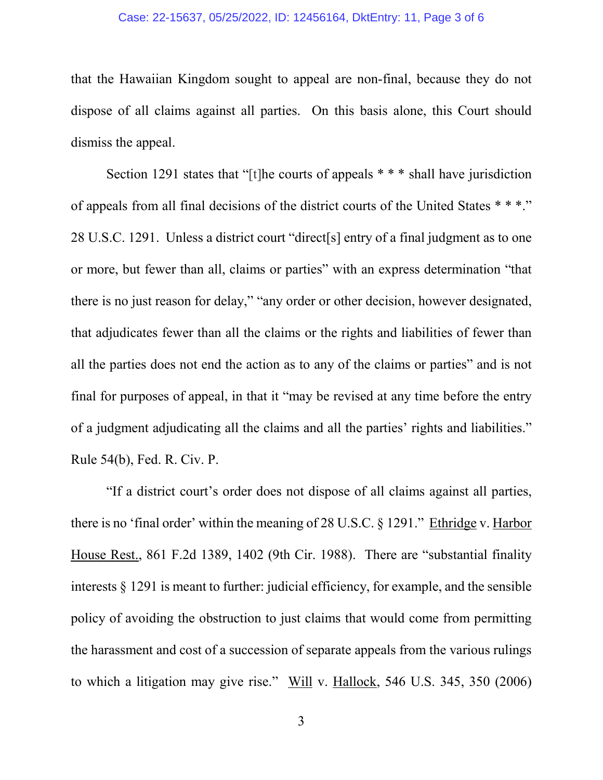#### Case: 22-15637, 05/25/2022, ID: 12456164, DktEntry: 11, Page 3 of 6

that the Hawaiian Kingdom sought to appeal are non-final, because they do not dispose of all claims against all parties. On this basis alone, this Court should dismiss the appeal.

Section 1291 states that "[t]he courts of appeals \* \* \* shall have jurisdiction of appeals from all final decisions of the district courts of the United States \* \* \*." 28 U.S.C. 1291. Unless a district court "direct[s] entry of a final judgment as to one or more, but fewer than all, claims or parties" with an express determination "that there is no just reason for delay," "any order or other decision, however designated, that adjudicates fewer than all the claims or the rights and liabilities of fewer than all the parties does not end the action as to any of the claims or parties" and is not final for purposes of appeal, in that it "may be revised at any time before the entry of a judgment adjudicating all the claims and all the parties' rights and liabilities." Rule 54(b), Fed. R. Civ. P.

"If a district court's order does not dispose of all claims against all parties, there is no 'final order' within the meaning of 28 U.S.C. § 1291." Ethridge v. Harbor House Rest., 861 F.2d 1389, 1402 (9th Cir. 1988). There are "substantial finality interests § 1291 is meant to further: judicial efficiency, for example, and the sensible policy of avoiding the obstruction to just claims that would come from permitting the harassment and cost of a succession of separate appeals from the various rulings to which a litigation may give rise." Will v. Hallock, 546 U.S. 345, 350 (2006)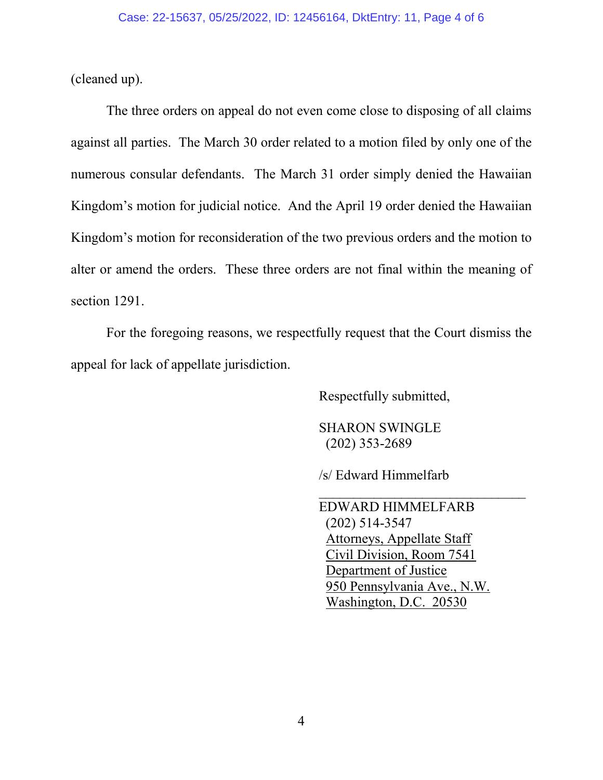(cleaned up).

The three orders on appeal do not even come close to disposing of all claims against all parties. The March 30 order related to a motion filed by only one of the numerous consular defendants. The March 31 order simply denied the Hawaiian Kingdom's motion for judicial notice. And the April 19 order denied the Hawaiian Kingdom's motion for reconsideration of the two previous orders and the motion to alter or amend the orders. These three orders are not final within the meaning of section 1291.

For the foregoing reasons, we respectfully request that the Court dismiss the appeal for lack of appellate jurisdiction.

 $\overline{\phantom{a}}$  , and the contract of the contract of the contract of the contract of the contract of the contract of the contract of the contract of the contract of the contract of the contract of the contract of the contrac

Respectfully submitted,

 SHARON SWINGLE (202) 353-2689

/s/ Edward Himmelfarb

 EDWARD HIMMELFARB (202) 514-3547 Attorneys, Appellate Staff Civil Division, Room 7541 Department of Justice 950 Pennsylvania Ave., N.W. Washington, D.C. 20530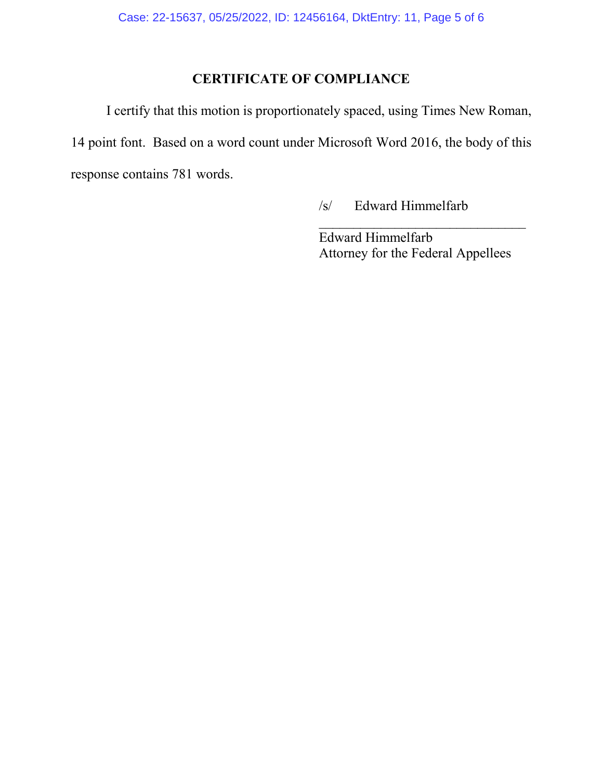# **CERTIFICATE OF COMPLIANCE**

I certify that this motion is proportionately spaced, using Times New Roman, 14 point font. Based on a word count under Microsoft Word 2016, the body of this response contains 781 words.

/s/ Edward Himmelfarb

Edward Himmelfarb Attorney for the Federal Appellees

\_\_\_\_\_\_\_\_\_\_\_\_\_\_\_\_\_\_\_\_\_\_\_\_\_\_\_\_\_\_